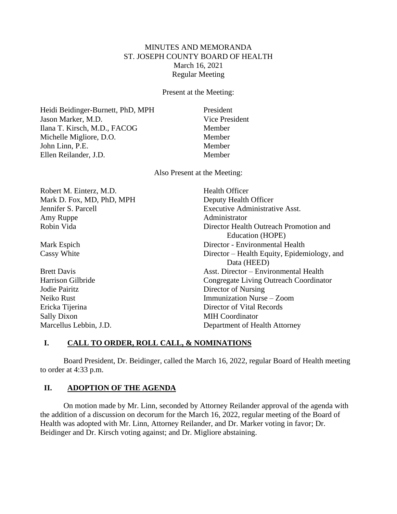# MINUTES AND MEMORANDA ST. JOSEPH COUNTY BOARD OF HEALTH March 16, 2021 Regular Meeting

Present at the Meeting:

Heidi Beidinger-Burnett, PhD, MPH President Jason Marker, M.D. Vice President Ilana T. Kirsch, M.D., FACOG Member Michelle Migliore, D.O. Member John Linn, P.E. Member Ellen Reilander, J.D. Member

Also Present at the Meeting:

| Robert M. Einterz, M.D.   | <b>Health Officer</b>                       |
|---------------------------|---------------------------------------------|
| Mark D. Fox, MD, PhD, MPH | Deputy Health Officer                       |
| Jennifer S. Parcell       | <b>Executive Administrative Asst.</b>       |
| Amy Ruppe                 | Administrator                               |
| Robin Vida                | Director Health Outreach Promotion and      |
|                           | Education (HOPE)                            |
| Mark Espich               | Director - Environmental Health             |
| Cassy White               | Director – Health Equity, Epidemiology, and |
|                           | Data (HEED)                                 |
| <b>Brett Davis</b>        | Asst. Director – Environmental Health       |
| Harrison Gilbride         | Congregate Living Outreach Coordinator      |
| Jodie Pairitz             | Director of Nursing                         |
| Neiko Rust                | Immunization Nurse – Zoom                   |
| Ericka Tijerina           | Director of Vital Records                   |
| <b>Sally Dixon</b>        | <b>MIH</b> Coordinator                      |
| Marcellus Lebbin, J.D.    | Department of Health Attorney               |

# **I. CALL TO ORDER, ROLL CALL, & NOMINATIONS**

Board President, Dr. Beidinger, called the March 16, 2022, regular Board of Health meeting to order at 4:33 p.m.

## **II. ADOPTION OF THE AGENDA**

On motion made by Mr. Linn, seconded by Attorney Reilander approval of the agenda with the addition of a discussion on decorum for the March 16, 2022, regular meeting of the Board of Health was adopted with Mr. Linn, Attorney Reilander, and Dr. Marker voting in favor; Dr. Beidinger and Dr. Kirsch voting against; and Dr. Migliore abstaining.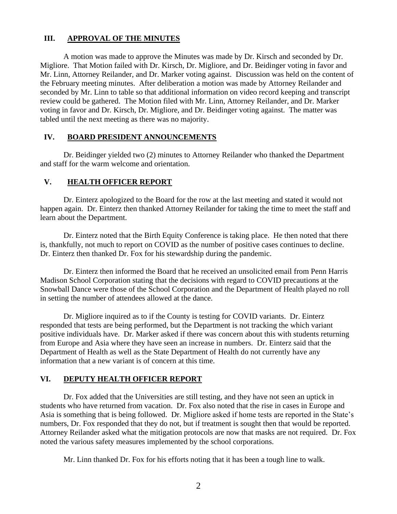### **III. APPROVAL OF THE MINUTES**

A motion was made to approve the Minutes was made by Dr. Kirsch and seconded by Dr. Migliore. That Motion failed with Dr. Kirsch, Dr. Migliore, and Dr. Beidinger voting in favor and Mr. Linn, Attorney Reilander, and Dr. Marker voting against. Discussion was held on the content of the February meeting minutes. After deliberation a motion was made by Attorney Reilander and seconded by Mr. Linn to table so that additional information on video record keeping and transcript review could be gathered. The Motion filed with Mr. Linn, Attorney Reilander, and Dr. Marker voting in favor and Dr. Kirsch, Dr. Migliore, and Dr. Beidinger voting against. The matter was tabled until the next meeting as there was no majority.

#### **IV. BOARD PRESIDENT ANNOUNCEMENTS**

Dr. Beidinger yielded two (2) minutes to Attorney Reilander who thanked the Department and staff for the warm welcome and orientation.

#### **V. HEALTH OFFICER REPORT**

Dr. Einterz apologized to the Board for the row at the last meeting and stated it would not happen again. Dr. Einterz then thanked Attorney Reilander for taking the time to meet the staff and learn about the Department.

Dr. Einterz noted that the Birth Equity Conference is taking place. He then noted that there is, thankfully, not much to report on COVID as the number of positive cases continues to decline. Dr. Einterz then thanked Dr. Fox for his stewardship during the pandemic.

Dr. Einterz then informed the Board that he received an unsolicited email from Penn Harris Madison School Corporation stating that the decisions with regard to COVID precautions at the Snowball Dance were those of the School Corporation and the Department of Health played no roll in setting the number of attendees allowed at the dance.

Dr. Migliore inquired as to if the County is testing for COVID variants. Dr. Einterz responded that tests are being performed, but the Department is not tracking the which variant positive individuals have. Dr. Marker asked if there was concern about this with students returning from Europe and Asia where they have seen an increase in numbers. Dr. Einterz said that the Department of Health as well as the State Department of Health do not currently have any information that a new variant is of concern at this time.

### **VI. DEPUTY HEALTH OFFICER REPORT**

Dr. Fox added that the Universities are still testing, and they have not seen an uptick in students who have returned from vacation. Dr. Fox also noted that the rise in cases in Europe and Asia is something that is being followed. Dr. Migliore asked if home tests are reported in the State's numbers, Dr. Fox responded that they do not, but if treatment is sought then that would be reported. Attorney Reilander asked what the mitigation protocols are now that masks are not required. Dr. Fox noted the various safety measures implemented by the school corporations.

Mr. Linn thanked Dr. Fox for his efforts noting that it has been a tough line to walk.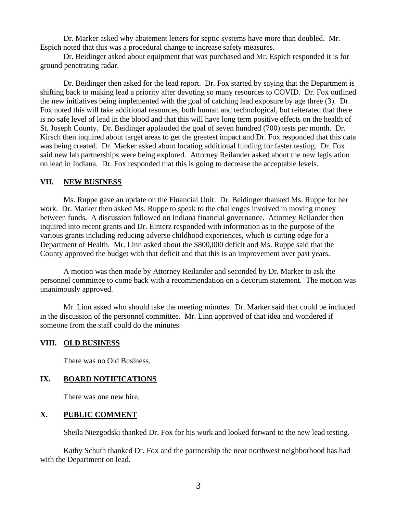Dr. Marker asked why abatement letters for septic systems have more than doubled. Mr. Espich noted that this was a procedural change to increase safety measures.

Dr. Beidinger asked about equipment that was purchased and Mr. Espich responded it is for ground penetrating radar.

Dr. Beidinger then asked for the lead report. Dr. Fox started by saying that the Department is shifting back to making lead a priority after devoting so many resources to COVID. Dr. Fox outlined the new initiatives being implemented with the goal of catching lead exposure by age three (3). Dr. Fox noted this will take additional resources, both human and technological, but reiterated that there is no safe level of lead in the blood and that this will have long term positive effects on the health of St. Joseph County. Dr. Beidinger applauded the goal of seven hundred (700) tests per month. Dr. Kirsch then inquired about target areas to get the greatest impact and Dr. Fox responded that this data was being created. Dr. Marker asked about locating additional funding for faster testing. Dr. Fox said new lab partnerships were being explored. Attorney Reilander asked about the new legislation on lead in Indiana. Dr. Fox responded that this is going to decrease the acceptable levels.

#### **VII. NEW BUSINESS**

Ms. Ruppe gave an update on the Financial Unit. Dr. Beidinger thanked Ms. Ruppe for her work. Dr. Marker then asked Ms. Ruppe to speak to the challenges involved in moving money between funds. A discussion followed on Indiana financial governance. Attorney Reilander then inquired into recent grants and Dr. Einterz responded with information as to the purpose of the various grants including reducing adverse childhood experiences, which is cutting edge for a Department of Health. Mr. Linn asked about the \$800,000 deficit and Ms. Ruppe said that the County approved the budget with that deficit and that this is an improvement over past years.

A motion was then made by Attorney Reilander and seconded by Dr. Marker to ask the personnel committee to come back with a recommendation on a decorum statement. The motion was unanimously approved.

Mr. Linn asked who should take the meeting minutes. Dr. Marker said that could be included in the discussion of the personnel committee. Mr. Linn approved of that idea and wondered if someone from the staff could do the minutes.

### **VIII. OLD BUSINESS**

There was no Old Business.

## **IX. BOARD NOTIFICATIONS**

There was one new hire.

# **X. PUBLIC COMMENT**

Sheila Niezgodski thanked Dr. Fox for his work and looked forward to the new lead testing.

Kathy Schuth thanked Dr. Fox and the partnership the near northwest neighborhood has had with the Department on lead.